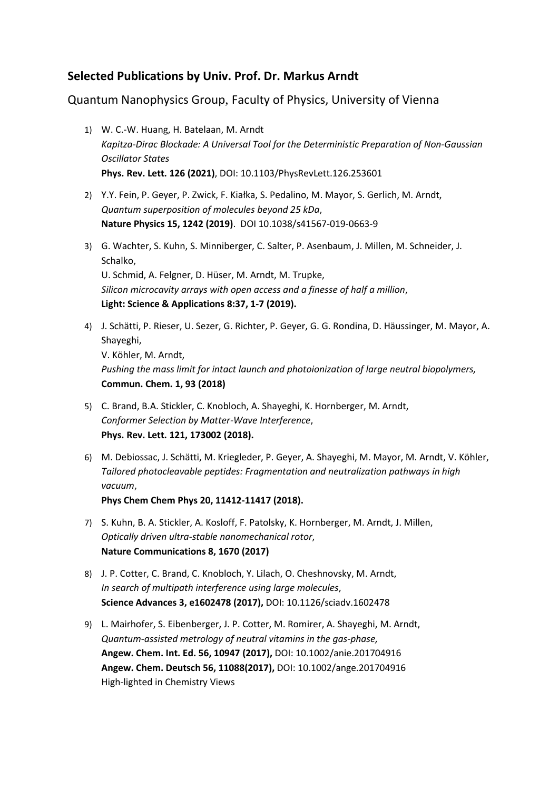## **Selected Publications by Univ. Prof. Dr. Markus Arndt**

Quantum Nanophysics Group, Faculty of Physics, University of Vienna

- 1) W. C.-W. Huang, H. Batelaan, M. Arndt *Kapitza-Dirac Blockade: A Universal Tool for the Deterministic Preparation of Non-Gaussian Oscillator States* **Phys. Rev. Lett. 126 (2021)**, DOI: 10.1103/PhysRevLett.126.253601
- 2) Y.Y. Fein, P. Geyer, P. Zwick, F. Kiałka, S. Pedalino, M. Mayor, S. Gerlich, M. Arndt, *Quantum superposition of molecules beyond 25 kDa*, **Nature Physics 15, 1242 (2019)**. DOI 10.1038/s41567-019-0663-9
- 3) G. Wachter, S. Kuhn, S. Minniberger, C. Salter, P. Asenbaum, J. Millen, M. Schneider, J. Schalko, U. Schmid, A. Felgner, D. Hüser, M. Arndt, M. Trupke, *Silicon microcavity arrays with open access and a finesse of half a million*, **Light: Science & Applications 8:37, 1-7 (2019).**
- 4) J. Schätti, P. Rieser, U. Sezer, G. Richter, P. Geyer, G. G. Rondina, D. Häussinger, M. Mayor, A. Shayeghi, V. Köhler, M. Arndt, *Pushing the mass limit for intact launch and photoionization of large neutral biopolymers,* **Commun. Chem. 1, 93 (2018)**
- 5) C. Brand, B.A. Stickler, C. Knobloch, A. Shayeghi, K. Hornberger, M. Arndt, *Conformer Selection by Matter-Wave Interference*, **Phys. Rev. Lett. 121, 173002 (2018).**
- 6) M. Debiossac, J. Schätti, M. Kriegleder, P. Geyer, A. Shayeghi, M. Mayor, M. Arndt, V. Köhler, *Tailored photocleavable peptides: Fragmentation and neutralization pathways in high vacuum*,

**Phys Chem Chem Phys 20, 11412-11417 (2018).**

- 7) S. Kuhn, B. A. Stickler, A. Kosloff, F. Patolsky, K. Hornberger, M. Arndt, J. Millen, *Optically driven ultra-stable nanomechanical rotor*, **Nature Communications 8, 1670 (2017)**
- 8) J. P. Cotter, C. Brand, C. Knobloch, Y. Lilach, O. Cheshnovsky, M. Arndt, *In search of multipath interference using large molecules*, **Science Advances 3, e1602478 (2017),** DOI: 10.1126/sciadv.1602478
- 9) L. Mairhofer, S. Eibenberger, J. P. Cotter, M. Romirer, A. Shayeghi, M. Arndt, *Quantum-assisted metrology of neutral vitamins in the gas-phase,* **Angew. Chem. Int. Ed. 56, 10947 (2017),** DOI: 10.1002/anie.201704916 **Angew. Chem. Deutsch 56, 11088(2017),** DOI: 10.1002/ange.201704916 High-lighted in Chemistry Views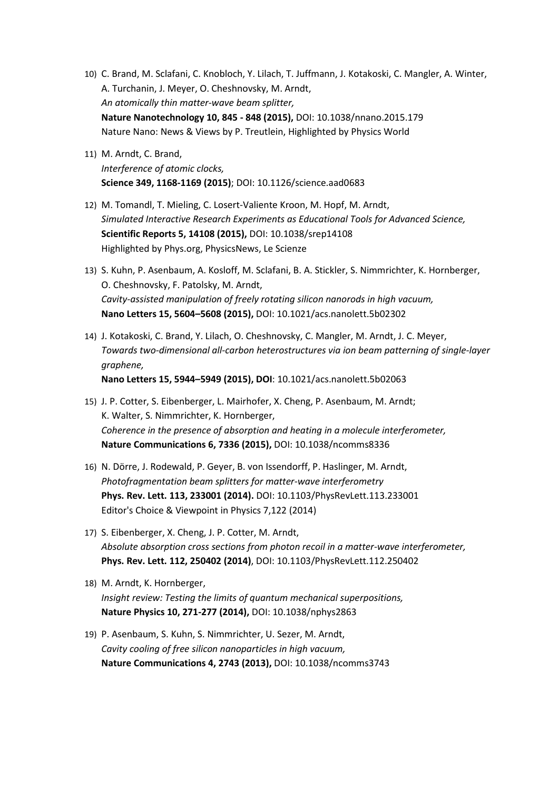- 10) C. Brand, M. Sclafani, C. Knobloch, Y. Lilach, T. Juffmann, J. Kotakoski, C. Mangler, A. Winter, A. Turchanin, J. Meyer, O. Cheshnovsky, M. Arndt, *An atomically thin matter-wave beam splitter,* **Nature Nanotechnology 10, 845 - 848 (2015),** DOI: 10.1038/nnano.2015.179 Nature Nano: News & Views by P. Treutlein, Highlighted by Physics World
- 11) M. Arndt, C. Brand, *Interference of atomic clocks,* **Science 349, 1168-1169 (2015)**; DOI: 10.1126/science.aad0683
- 12) M. Tomandl, T. Mieling, C. Losert-Valiente Kroon, M. Hopf, M. Arndt, *Simulated Interactive Research Experiments as Educational Tools for Advanced Science,* **Scientific Reports 5, 14108 (2015),** DOI: 10.1038/srep14108 Highlighted by Phys.org, PhysicsNews, Le Scienze
- 13) S. Kuhn, P. Asenbaum, A. Kosloff, M. Sclafani, B. A. Stickler, S. Nimmrichter, K. Hornberger, O. Cheshnovsky, F. Patolsky, M. Arndt, *Cavity-assisted manipulation of freely rotating silicon nanorods in high vacuum,* **Nano Letters 15, 5604–5608 (2015),** DOI: 10.1021/acs.nanolett.5b02302
- 14) J. Kotakoski, C. Brand, Y. Lilach, O. Cheshnovsky, C. Mangler, M. Arndt, J. C. Meyer, *Towards two-dimensional all-carbon heterostructures via ion beam patterning of single-layer graphene,*

**Nano Letters 15, 5944–5949 (2015), DOI**: 10.1021/acs.nanolett.5b02063

- 15) J. P. Cotter, S. Eibenberger, L. Mairhofer, X. Cheng, P. Asenbaum, M. Arndt; K. Walter, S. Nimmrichter, K. Hornberger, *Coherence in the presence of absorption and heating in a molecule interferometer,* **Nature Communications 6, 7336 (2015),** DOI: 10.1038/ncomms8336
- 16) N. Dörre, J. Rodewald, P. Geyer, B. von Issendorff, P. Haslinger, M. Arndt, *Photofragmentation beam splitters for matter-wave interferometry* **Phys. Rev. Lett. 113, 233001 (2014).** DOI: 10.1103/PhysRevLett.113.233001 Editor's Choice & Viewpoint in Physics 7,122 (2014)
- 17) S. Eibenberger, X. Cheng, J. P. Cotter, M. Arndt, *Absolute absorption cross sections from photon recoil in a matter-wave interferometer,* **Phys. Rev. Lett. 112, 250402 (2014)**, DOI: 10.1103/PhysRevLett.112.250402
- 18) M. Arndt, K. Hornberger, *Insight review: Testing the limits of quantum mechanical superpositions,* **Nature Physics 10, 271-277 (2014),** DOI: 10.1038/nphys2863
- 19) P. Asenbaum, S. Kuhn, S. Nimmrichter, U. Sezer, M. Arndt, *Cavity cooling of free silicon nanoparticles in high vacuum,* **Nature Communications 4, 2743 (2013),** DOI: 10.1038/ncomms3743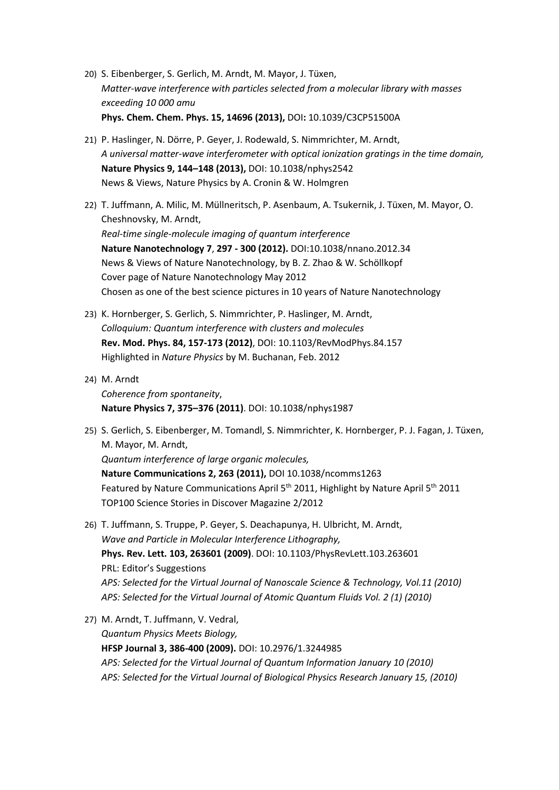- 20) S. Eibenberger, S. Gerlich, M. Arndt, M. Mayor, J. Tüxen, *Matter-wave interference with particles selected from a molecular library with masses exceeding 10 000 amu* **Phys. Chem. Chem. Phys. 15, 14696 (2013),** DOI**:** 10.1039/C3CP51500A
- 21) P. Haslinger, N. Dörre, P. Geyer, J. Rodewald, S. Nimmrichter, M. Arndt, *A universal matter-wave interferometer with optical ionization gratings in the time domain,* **Nature Physics 9, 144–148 (2013),** DOI: 10.1038/nphys2542 News & Views, Nature Physics by A. Cronin & W. Holmgren
- 22) T. Juffmann, A. Milic, M. Müllneritsch, P. Asenbaum, A. Tsukernik, J. Tüxen, M. Mayor, O. Cheshnovsky, M. Arndt, *Real-time single-molecule imaging of quantum interference* **Nature Nanotechnology 7**, **297 - 300 (2012).** DOI:10.1038/nnano.2012.34 News & Views of Nature Nanotechnology, by B. Z. Zhao & W. Schöllkopf Cover page of Nature Nanotechnology May 2012 Chosen as one of the best science pictures in 10 years of Nature Nanotechnology
- 23) K. Hornberger, S. Gerlich, S. Nimmrichter, P. Haslinger, M. Arndt, *Colloquium: Quantum interference with clusters and molecules* **Rev. Mod. Phys. 84, 157-173 (2012)**, DOI: 10.1103/RevModPhys.84.157 Highlighted in *Nature Physics* by M. Buchanan, Feb. 2012
- 24) M. Arndt *Coherence from spontaneity*, **Nature Physics 7, 375–376 (2011)**. DOI: 10.1038/nphys1987
- 25) S. Gerlich, S. Eibenberger, M. Tomandl, S. Nimmrichter, K. Hornberger, P. J. Fagan, J. Tüxen, M. Mayor, M. Arndt, *Quantum interference of large organic molecules,* **Nature Communications 2, 263 (2011),** DOI 10.1038/ncomms1263 Featured by Nature Communications April 5<sup>th</sup> 2011, Highlight by Nature April 5<sup>th</sup> 2011 TOP100 Science Stories in Discover Magazine 2/2012
- 26) T. Juffmann, S. Truppe, P. Geyer, S. Deachapunya, H. Ulbricht, M. Arndt, *Wave and Particle in Molecular Interference Lithography,* **Phys. Rev. Lett. 103, 263601 (2009)**. DOI: 10.1103/PhysRevLett.103.263601 PRL: Editor's Suggestions *APS: Selected for the Virtual Journal of Nanoscale Science & Technology, Vol.11 (2010) APS: Selected for the Virtual Journal of Atomic Quantum Fluids Vol. 2 (1) (2010)*
- 27) M. Arndt, T. Juffmann, V. Vedral, *Quantum Physics Meets Biology,* **HFSP Journal 3, 386-400 (2009).** DOI: 10.2976/1.3244985 *APS: Selected for the Virtual Journal of Quantum Information January 10 (2010) APS: Selected for the Virtual Journal of Biological Physics Research January 15, (2010)*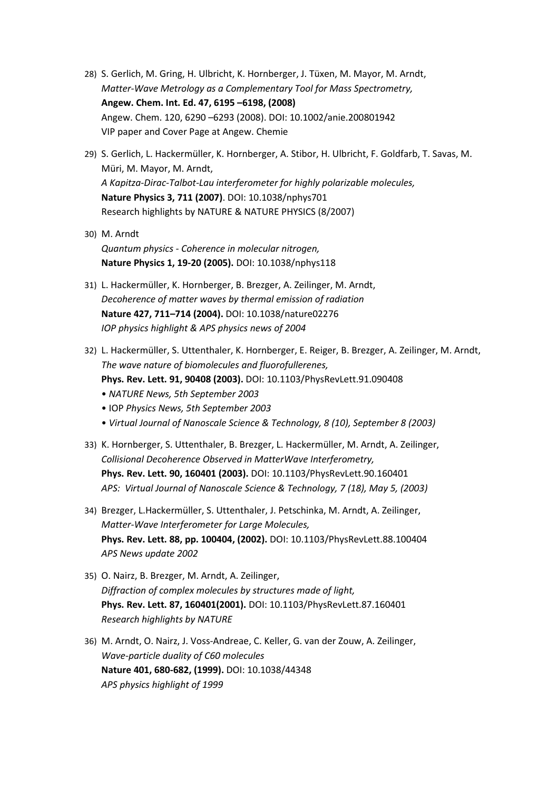- 28) S. Gerlich, M. Gring, H. Ulbricht, K. Hornberger, J. Tüxen, M. Mayor, M. Arndt, *Matter-Wave Metrology as a Complementary Tool for Mass Spectrometry,* **Angew. Chem. Int. Ed. 47, 6195 –6198, (2008)** Angew. Chem. 120, 6290 –6293 (2008). DOI: 10.1002/anie.200801942 VIP paper and Cover Page at Angew. Chemie
- 29) S. Gerlich, L. Hackermüller, K. Hornberger, A. Stibor, H. Ulbricht, F. Goldfarb, T. Savas, M. Müri, M. Mayor, M. Arndt, *A Kapitza-Dirac-Talbot-Lau interferometer for highly polarizable molecules,* **Nature Physics 3, 711 (2007)**. DOI: 10.1038/nphys701 Research highlights by NATURE & NATURE PHYSICS (8/2007)
- 30) M. Arndt *Quantum physics - Coherence in molecular nitrogen,* **Nature Physics 1, 19-20 (2005).** DOI: 10.1038/nphys118
- 31) L. Hackermüller, K. Hornberger, B. Brezger, A. Zeilinger, M. Arndt, *Decoherence of matter waves by thermal emission of radiation* **Nature 427, 711–714 (2004).** DOI: 10.1038/nature02276 *IOP physics highlight & APS physics news of 2004*
- 32) L. Hackermüller, S. Uttenthaler, K. Hornberger, E. Reiger, B. Brezger, A. Zeilinger, M. Arndt, *The wave nature of biomolecules and fluorofullerenes,* **Phys. Rev. Lett. 91, 90408 (2003).** DOI: 10.1103/PhysRevLett.91.090408 • *NATURE News, 5th September 2003*
	- IOP *Physics News, 5th September 2003*
	- *Virtual Journal of Nanoscale Science & Technology, 8 (10), September 8 (2003)*
- 33) K. Hornberger, S. Uttenthaler, B. Brezger, L. Hackermüller, M. Arndt, A. Zeilinger, *Collisional Decoherence Observed in MatterWave Interferometry,* **Phys. Rev. Lett. 90, 160401 (2003).** DOI: 10.1103/PhysRevLett.90.160401 *APS: Virtual Journal of Nanoscale Science & Technology, 7 (18), May 5, (2003)*
- 34) Brezger, L.Hackermüller, S. Uttenthaler, J. Petschinka, M. Arndt, A. Zeilinger, *Matter-Wave Interferometer for Large Molecules,* **Phys. Rev. Lett. 88, pp. 100404, (2002).** DOI: 10.1103/PhysRevLett.88.100404 *APS News update 2002*
- 35) O. Nairz, B. Brezger, M. Arndt, A. Zeilinger, *Diffraction of complex molecules by structures made of light,* **Phys. Rev. Lett. 87, 160401(2001).** DOI: 10.1103/PhysRevLett.87.160401 *Research highlights by NATURE*
- 36) M. Arndt, O. Nairz, J. Voss-Andreae, C. Keller, G. van der Zouw, A. Zeilinger, *Wave-particle duality of C60 molecules* **Nature 401, 680-682, (1999).** DOI: 10.1038/44348 *APS physics highlight of 1999*